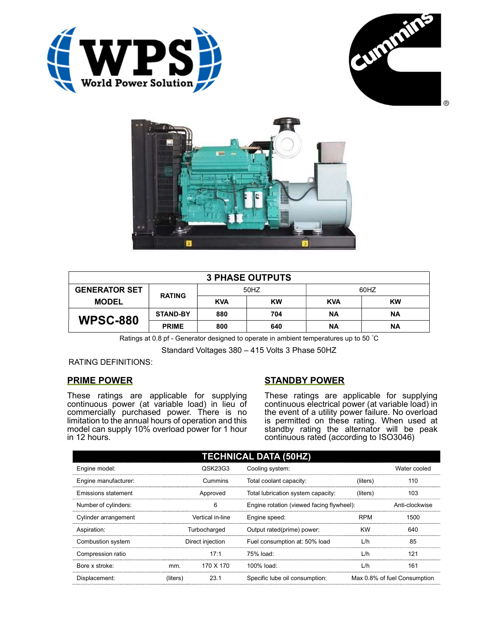





| <b>3 PHASE OUTPUTS</b> |                 |            |           |            |           |  |
|------------------------|-----------------|------------|-----------|------------|-----------|--|
| <b>GENERATOR SET</b>   | <b>RATING</b>   | 50HZ       |           | 60HZ       |           |  |
| <b>MODEL</b>           |                 | <b>KVA</b> | <b>KW</b> | <b>KVA</b> | <b>KW</b> |  |
| <b>WPSC-880</b>        | <b>STAND-BY</b> | 880        | 704       | ΝA         | ΝA        |  |
|                        | <b>PRIME</b>    | 800        | 640       | <b>NA</b>  | ΝA        |  |

Ratings at 0.8 pf - Generator designed to operate in ambient temperatures up to 50 °C

Standard Voltages 380 – 415 Volts 3 Phase 50HZ

# RATING DEFINITIONS:

# PRIME POWER

These ratings are applicable for supplying continuous power (at variable load) in lieu of commercially purchased power. There is no limitation to the annual hours of operation and this model can supply 10% overload power for 1 hour in 12 hours.

# STANDBY POWER

These ratings are applicable for supplying continuous electrical power (at variable load) in the event of a utility power failure. No overload is permitted on these rating. When used at standby rating the alternator will be peak continuous rated (according to ISO3046)

| <b>TECHNICAL DATA (50HZ)</b> |                  |           |                                           |            |                              |  |
|------------------------------|------------------|-----------|-------------------------------------------|------------|------------------------------|--|
| Engine model:                |                  | QSK23G3   | Cooling system:                           |            | Water cooled                 |  |
| Engine manufacturer:         |                  | Cummins   | Total coolant capacity:                   | (liters)   | 110                          |  |
| Emissions statement          | Approved         |           | Total lubrication system capacity:        | (liters)   | 103                          |  |
| Number of cylinders:         | 6                |           | Engine rotation (viewed facing flywheel): |            | Anti-clockwise               |  |
| Cylinder arrangement         | Vertical in-line |           | Engine speed:                             | <b>RPM</b> | 1500                         |  |
| Aspiration:                  | Turbocharged     |           | Output rated(prime) power:                | <b>KW</b>  | 640                          |  |
| Combustion system            | Direct injection |           | Fuel consumption at: 50% load             | L/h        | 85                           |  |
| Compression ratio            |                  | 17:1      | 75% load:                                 | L/h        | 121                          |  |
| Bore x stroke:               | mm.              | 170 X 170 | 100% load:                                | L/h        | 161                          |  |
| Displacement:                | (liters)         | 23.1      | Specific lube oil consumption:            |            | Max 0.8% of fuel Consumption |  |